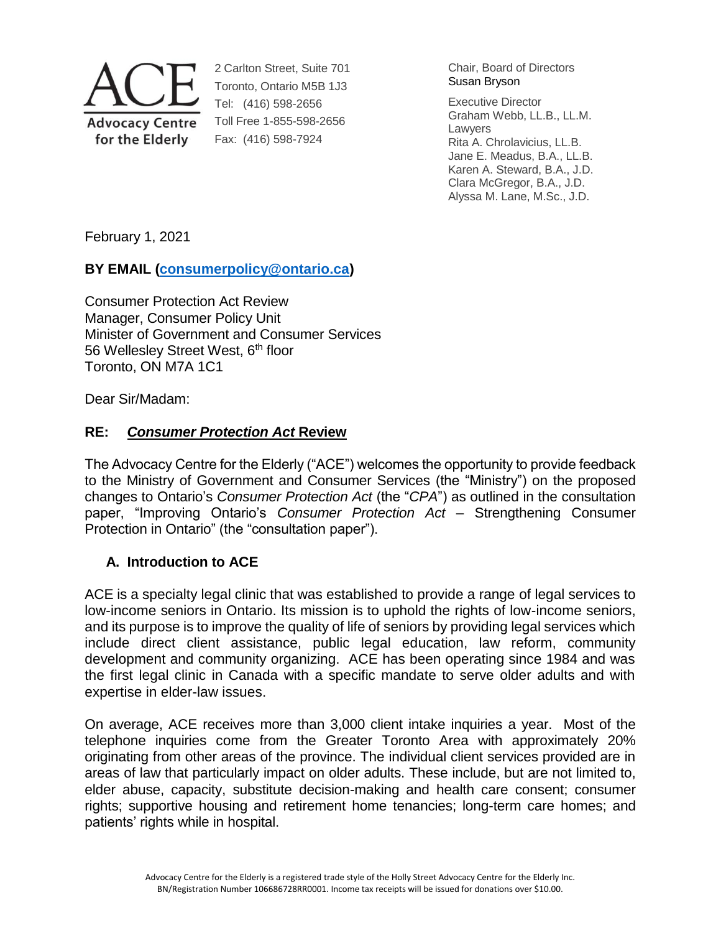

2 Carlton Street, Suite 701 Toronto, Ontario M5B 1J3 Tel: (416) 598-2656 Toll Free 1-855-598-2656 Fax: (416) 598-7924

Chair, Board of Directors Susan Bryson

Executive Director Graham Webb, LL.B., LL.M. Lawyers Rita A. Chrolavicius, LL.B. Jane E. Meadus, B.A., LL.B. Karen A. Steward, B.A., J.D. Clara McGregor, B.A., J.D. Alyssa M. Lane, M.Sc., J.D.

February 1, 2021

# **BY EMAIL (consumerpolicy@ontario.ca)**

Consumer Protection Act Review Manager, Consumer Policy Unit Minister of Government and Consumer Services 56 Wellesley Street West, 6<sup>th</sup> floor Toronto, ON M7A 1C1

Dear Sir/Madam:

# **RE:** *Consumer Protection Act* **Review**

The Advocacy Centre for the Elderly ("ACE") welcomes the opportunity to provide feedback to the Ministry of Government and Consumer Services (the "Ministry") on the proposed changes to Ontario's *Consumer Protection Act* (the "*CPA*") as outlined in the consultation paper, "Improving Ontario's *Consumer Protection Act* – Strengthening Consumer Protection in Ontario" (the "consultation paper").

# **A. Introduction to ACE**

ACE is a specialty legal clinic that was established to provide a range of legal services to low-income seniors in Ontario. Its mission is to uphold the rights of low-income seniors, and its purpose is to improve the quality of life of seniors by providing legal services which include direct client assistance, public legal education, law reform, community development and community organizing. ACE has been operating since 1984 and was the first legal clinic in Canada with a specific mandate to serve older adults and with expertise in elder-law issues.

On average, ACE receives more than 3,000 client intake inquiries a year. Most of the telephone inquiries come from the Greater Toronto Area with approximately 20% originating from other areas of the province. The individual client services provided are in areas of law that particularly impact on older adults. These include, but are not limited to, elder abuse, capacity, substitute decision-making and health care consent; consumer rights; supportive housing and retirement home tenancies; long-term care homes; and patients' rights while in hospital.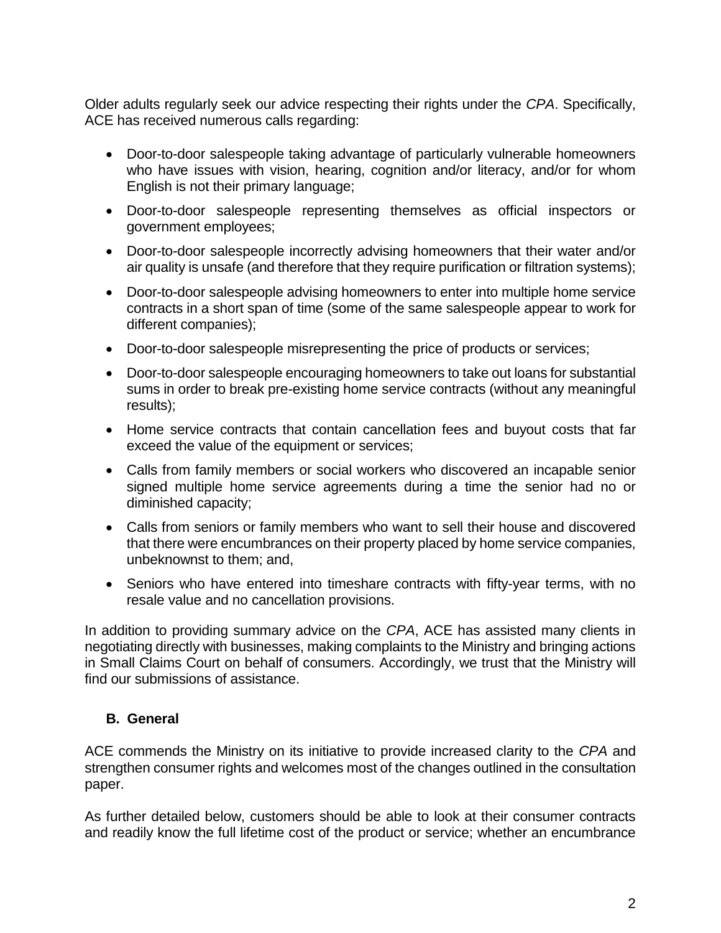Older adults regularly seek our advice respecting their rights under the *CPA*. Specifically, ACE has received numerous calls regarding:

- Door-to-door salespeople taking advantage of particularly vulnerable homeowners who have issues with vision, hearing, cognition and/or literacy, and/or for whom English is not their primary language;
- Door-to-door salespeople representing themselves as official inspectors or government employees;
- Door-to-door salespeople incorrectly advising homeowners that their water and/or air quality is unsafe (and therefore that they require purification or filtration systems);
- Door-to-door salespeople advising homeowners to enter into multiple home service contracts in a short span of time (some of the same salespeople appear to work for different companies);
- Door-to-door salespeople misrepresenting the price of products or services;
- Door-to-door salespeople encouraging homeowners to take out loans for substantial sums in order to break pre-existing home service contracts (without any meaningful results);
- Home service contracts that contain cancellation fees and buyout costs that far exceed the value of the equipment or services;
- Calls from family members or social workers who discovered an incapable senior signed multiple home service agreements during a time the senior had no or diminished capacity;
- Calls from seniors or family members who want to sell their house and discovered that there were encumbrances on their property placed by home service companies, unbeknownst to them; and,
- Seniors who have entered into timeshare contracts with fifty-year terms, with no resale value and no cancellation provisions.

In addition to providing summary advice on the *CPA*, ACE has assisted many clients in negotiating directly with businesses, making complaints to the Ministry and bringing actions in Small Claims Court on behalf of consumers. Accordingly, we trust that the Ministry will find our submissions of assistance.

# **B. General**

ACE commends the Ministry on its initiative to provide increased clarity to the *CPA* and strengthen consumer rights and welcomes most of the changes outlined in the consultation paper.

As further detailed below, customers should be able to look at their consumer contracts and readily know the full lifetime cost of the product or service; whether an encumbrance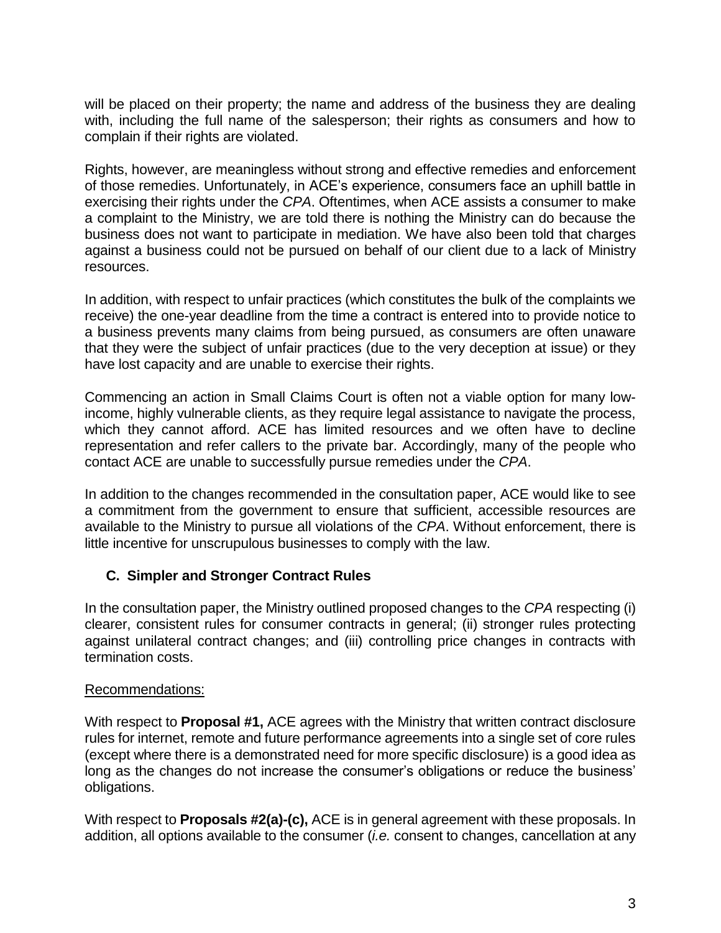will be placed on their property; the name and address of the business they are dealing with, including the full name of the salesperson; their rights as consumers and how to complain if their rights are violated.

Rights, however, are meaningless without strong and effective remedies and enforcement of those remedies. Unfortunately, in ACE's experience, consumers face an uphill battle in exercising their rights under the *CPA*. Oftentimes, when ACE assists a consumer to make a complaint to the Ministry, we are told there is nothing the Ministry can do because the business does not want to participate in mediation. We have also been told that charges against a business could not be pursued on behalf of our client due to a lack of Ministry resources.

In addition, with respect to unfair practices (which constitutes the bulk of the complaints we receive) the one-year deadline from the time a contract is entered into to provide notice to a business prevents many claims from being pursued, as consumers are often unaware that they were the subject of unfair practices (due to the very deception at issue) or they have lost capacity and are unable to exercise their rights.

Commencing an action in Small Claims Court is often not a viable option for many lowincome, highly vulnerable clients, as they require legal assistance to navigate the process, which they cannot afford. ACE has limited resources and we often have to decline representation and refer callers to the private bar. Accordingly, many of the people who contact ACE are unable to successfully pursue remedies under the *CPA*.

In addition to the changes recommended in the consultation paper, ACE would like to see a commitment from the government to ensure that sufficient, accessible resources are available to the Ministry to pursue all violations of the *CPA*. Without enforcement, there is little incentive for unscrupulous businesses to comply with the law.

# **C. Simpler and Stronger Contract Rules**

In the consultation paper, the Ministry outlined proposed changes to the *CPA* respecting (i) clearer, consistent rules for consumer contracts in general; (ii) stronger rules protecting against unilateral contract changes; and (iii) controlling price changes in contracts with termination costs.

# Recommendations:

With respect to **Proposal #1,** ACE agrees with the Ministry that written contract disclosure rules for internet, remote and future performance agreements into a single set of core rules (except where there is a demonstrated need for more specific disclosure) is a good idea as long as the changes do not increase the consumer's obligations or reduce the business' obligations.

With respect to **Proposals #2(a)-(c),** ACE is in general agreement with these proposals. In addition, all options available to the consumer (*i.e.* consent to changes, cancellation at any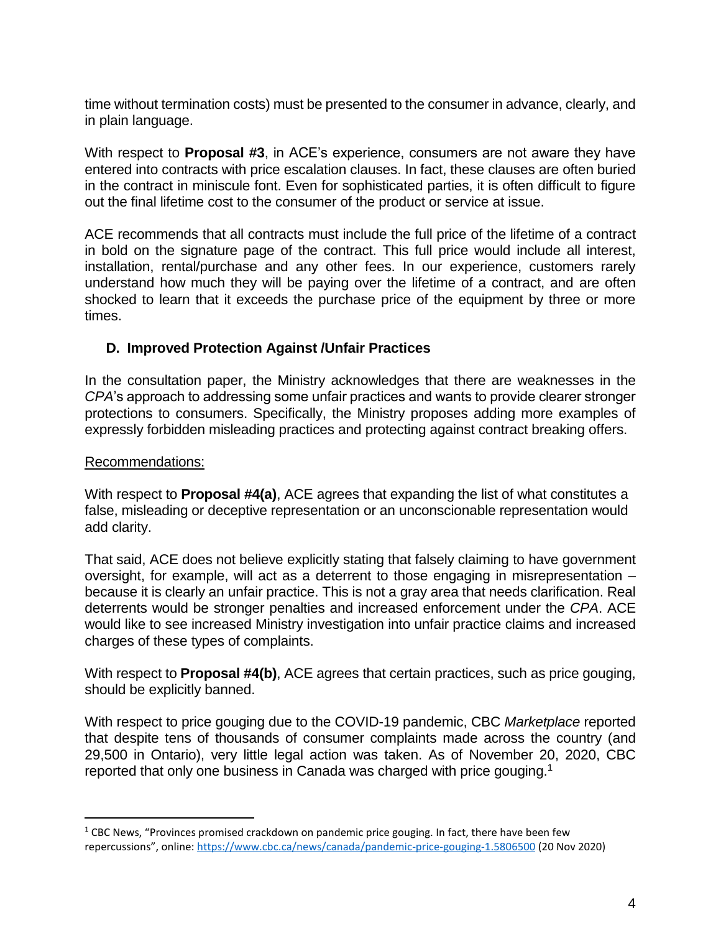time without termination costs) must be presented to the consumer in advance, clearly, and in plain language.

With respect to **Proposal #3**, in ACE's experience, consumers are not aware they have entered into contracts with price escalation clauses. In fact, these clauses are often buried in the contract in miniscule font. Even for sophisticated parties, it is often difficult to figure out the final lifetime cost to the consumer of the product or service at issue.

ACE recommends that all contracts must include the full price of the lifetime of a contract in bold on the signature page of the contract. This full price would include all interest, installation, rental/purchase and any other fees. In our experience, customers rarely understand how much they will be paying over the lifetime of a contract, and are often shocked to learn that it exceeds the purchase price of the equipment by three or more times.

# **D. Improved Protection Against /Unfair Practices**

In the consultation paper, the Ministry acknowledges that there are weaknesses in the *CPA*'s approach to addressing some unfair practices and wants to provide clearer stronger protections to consumers. Specifically, the Ministry proposes adding more examples of expressly forbidden misleading practices and protecting against contract breaking offers.

## Recommendations:

 $\overline{a}$ 

With respect to **Proposal #4(a)**, ACE agrees that expanding the list of what constitutes a false, misleading or deceptive representation or an unconscionable representation would add clarity.

That said, ACE does not believe explicitly stating that falsely claiming to have government oversight, for example, will act as a deterrent to those engaging in misrepresentation – because it is clearly an unfair practice. This is not a gray area that needs clarification. Real deterrents would be stronger penalties and increased enforcement under the *CPA*. ACE would like to see increased Ministry investigation into unfair practice claims and increased charges of these types of complaints.

With respect to **Proposal #4(b)**, ACE agrees that certain practices, such as price gouging, should be explicitly banned.

With respect to price gouging due to the COVID-19 pandemic, CBC *Marketplace* reported that despite tens of thousands of consumer complaints made across the country (and 29,500 in Ontario), very little legal action was taken. As of November 20, 2020, CBC reported that only one business in Canada was charged with price gouging.<sup>1</sup>

 $1$  CBC News, "Provinces promised crackdown on pandemic price gouging. In fact, there have been few repercussions", online: https://www.cbc.ca/news/canada/pandemic-price-gouging-1.5806500 (20 Nov 2020)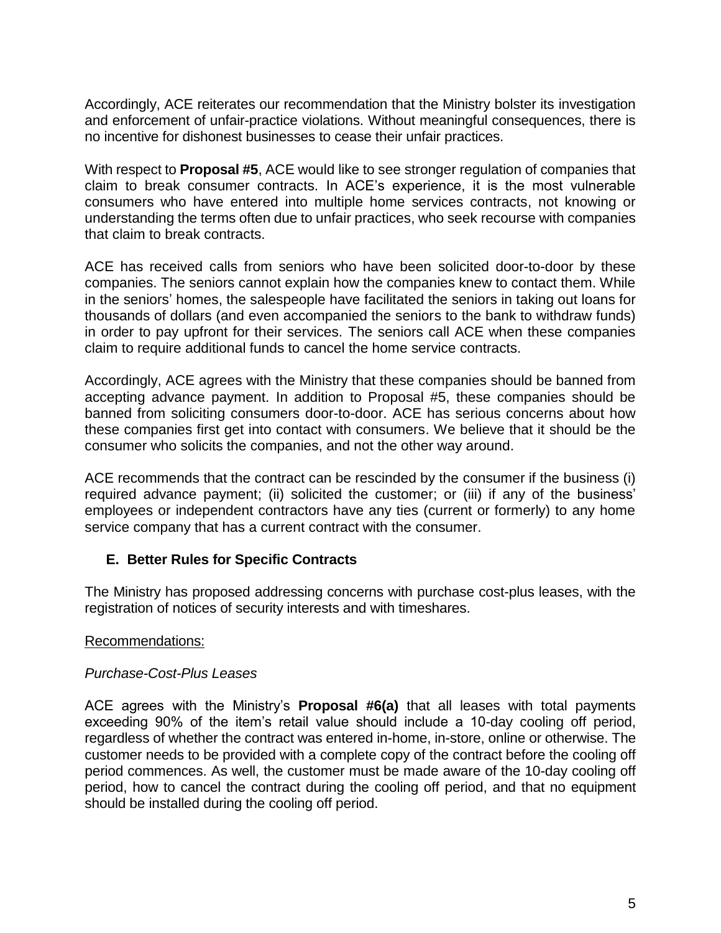Accordingly, ACE reiterates our recommendation that the Ministry bolster its investigation and enforcement of unfair-practice violations. Without meaningful consequences, there is no incentive for dishonest businesses to cease their unfair practices.

With respect to **Proposal #5**, ACE would like to see stronger regulation of companies that claim to break consumer contracts. In ACE's experience, it is the most vulnerable consumers who have entered into multiple home services contracts, not knowing or understanding the terms often due to unfair practices, who seek recourse with companies that claim to break contracts.

ACE has received calls from seniors who have been solicited door-to-door by these companies. The seniors cannot explain how the companies knew to contact them. While in the seniors' homes, the salespeople have facilitated the seniors in taking out loans for thousands of dollars (and even accompanied the seniors to the bank to withdraw funds) in order to pay upfront for their services. The seniors call ACE when these companies claim to require additional funds to cancel the home service contracts.

Accordingly, ACE agrees with the Ministry that these companies should be banned from accepting advance payment. In addition to Proposal #5, these companies should be banned from soliciting consumers door-to-door. ACE has serious concerns about how these companies first get into contact with consumers. We believe that it should be the consumer who solicits the companies, and not the other way around.

ACE recommends that the contract can be rescinded by the consumer if the business (i) required advance payment; (ii) solicited the customer; or (iii) if any of the business' employees or independent contractors have any ties (current or formerly) to any home service company that has a current contract with the consumer.

# **E. Better Rules for Specific Contracts**

The Ministry has proposed addressing concerns with purchase cost-plus leases, with the registration of notices of security interests and with timeshares.

## Recommendations:

## *Purchase-Cost-Plus Leases*

ACE agrees with the Ministry's **Proposal #6(a)** that all leases with total payments exceeding 90% of the item's retail value should include a 10-day cooling off period, regardless of whether the contract was entered in-home, in-store, online or otherwise. The customer needs to be provided with a complete copy of the contract before the cooling off period commences. As well, the customer must be made aware of the 10-day cooling off period, how to cancel the contract during the cooling off period, and that no equipment should be installed during the cooling off period.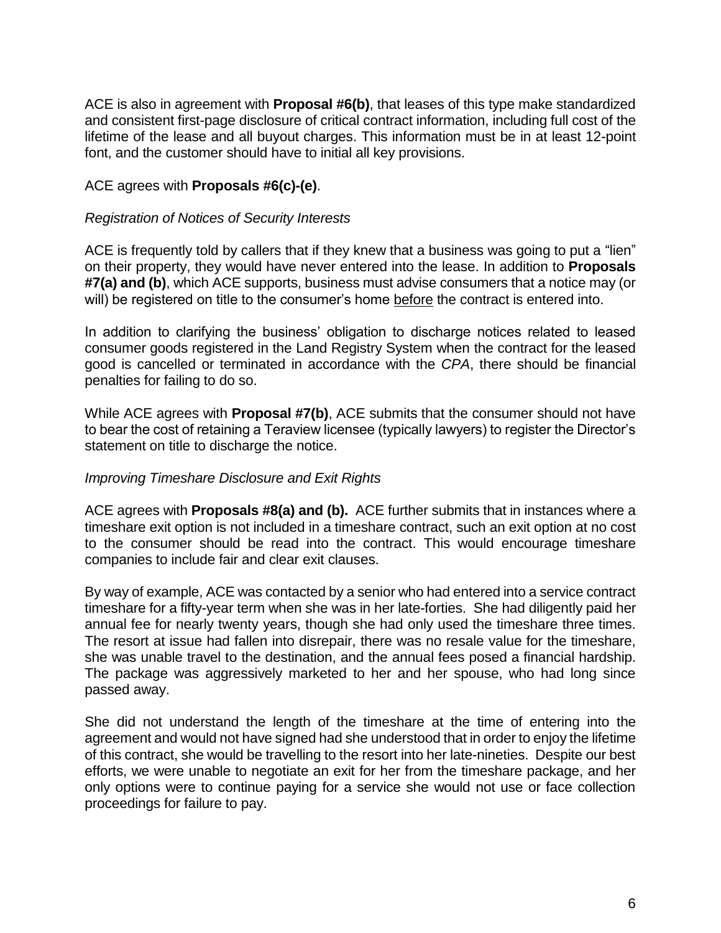ACE is also in agreement with **Proposal #6(b)**, that leases of this type make standardized and consistent first-page disclosure of critical contract information, including full cost of the lifetime of the lease and all buyout charges. This information must be in at least 12-point font, and the customer should have to initial all key provisions.

## ACE agrees with **Proposals #6(c)-(e)**.

#### *Registration of Notices of Security Interests*

ACE is frequently told by callers that if they knew that a business was going to put a "lien" on their property, they would have never entered into the lease. In addition to **Proposals #7(a) and (b)**, which ACE supports, business must advise consumers that a notice may (or will) be registered on title to the consumer's home before the contract is entered into.

In addition to clarifying the business' obligation to discharge notices related to leased consumer goods registered in the Land Registry System when the contract for the leased good is cancelled or terminated in accordance with the *CPA*, there should be financial penalties for failing to do so.

While ACE agrees with **Proposal #7(b)**, ACE submits that the consumer should not have to bear the cost of retaining a Teraview licensee (typically lawyers) to register the Director's statement on title to discharge the notice.

## *Improving Timeshare Disclosure and Exit Rights*

ACE agrees with **Proposals #8(a) and (b).** ACE further submits that in instances where a timeshare exit option is not included in a timeshare contract, such an exit option at no cost to the consumer should be read into the contract. This would encourage timeshare companies to include fair and clear exit clauses.

By way of example, ACE was contacted by a senior who had entered into a service contract timeshare for a fifty-year term when she was in her late-forties. She had diligently paid her annual fee for nearly twenty years, though she had only used the timeshare three times. The resort at issue had fallen into disrepair, there was no resale value for the timeshare, she was unable travel to the destination, and the annual fees posed a financial hardship. The package was aggressively marketed to her and her spouse, who had long since passed away.

She did not understand the length of the timeshare at the time of entering into the agreement and would not have signed had she understood that in order to enjoy the lifetime of this contract, she would be travelling to the resort into her late-nineties. Despite our best efforts, we were unable to negotiate an exit for her from the timeshare package, and her only options were to continue paying for a service she would not use or face collection proceedings for failure to pay.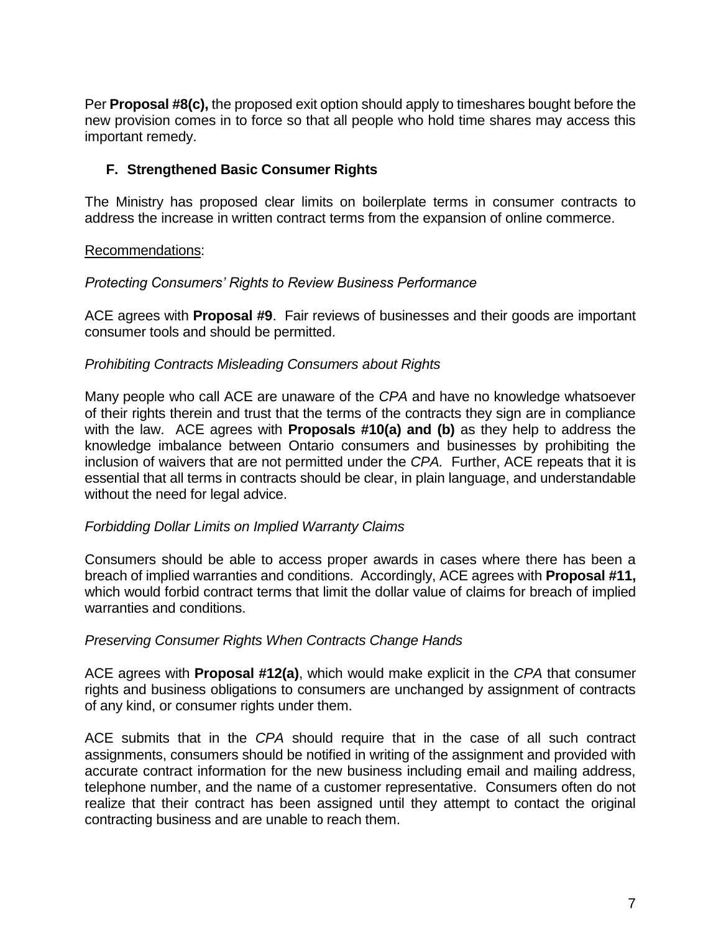Per **Proposal #8(c),** the proposed exit option should apply to timeshares bought before the new provision comes in to force so that all people who hold time shares may access this important remedy.

## **F. Strengthened Basic Consumer Rights**

The Ministry has proposed clear limits on boilerplate terms in consumer contracts to address the increase in written contract terms from the expansion of online commerce.

#### Recommendations:

#### *Protecting Consumers' Rights to Review Business Performance*

ACE agrees with **Proposal #9**. Fair reviews of businesses and their goods are important consumer tools and should be permitted.

## *Prohibiting Contracts Misleading Consumers about Rights*

Many people who call ACE are unaware of the *CPA* and have no knowledge whatsoever of their rights therein and trust that the terms of the contracts they sign are in compliance with the law. ACE agrees with **Proposals #10(a) and (b)** as they help to address the knowledge imbalance between Ontario consumers and businesses by prohibiting the inclusion of waivers that are not permitted under the *CPA.* Further, ACE repeats that it is essential that all terms in contracts should be clear, in plain language, and understandable without the need for legal advice.

#### *Forbidding Dollar Limits on Implied Warranty Claims*

Consumers should be able to access proper awards in cases where there has been a breach of implied warranties and conditions. Accordingly, ACE agrees with **Proposal #11,** which would forbid contract terms that limit the dollar value of claims for breach of implied warranties and conditions.

## *Preserving Consumer Rights When Contracts Change Hands*

ACE agrees with **Proposal #12(a)**, which would make explicit in the *CPA* that consumer rights and business obligations to consumers are unchanged by assignment of contracts of any kind, or consumer rights under them.

ACE submits that in the *CPA* should require that in the case of all such contract assignments, consumers should be notified in writing of the assignment and provided with accurate contract information for the new business including email and mailing address, telephone number, and the name of a customer representative. Consumers often do not realize that their contract has been assigned until they attempt to contact the original contracting business and are unable to reach them.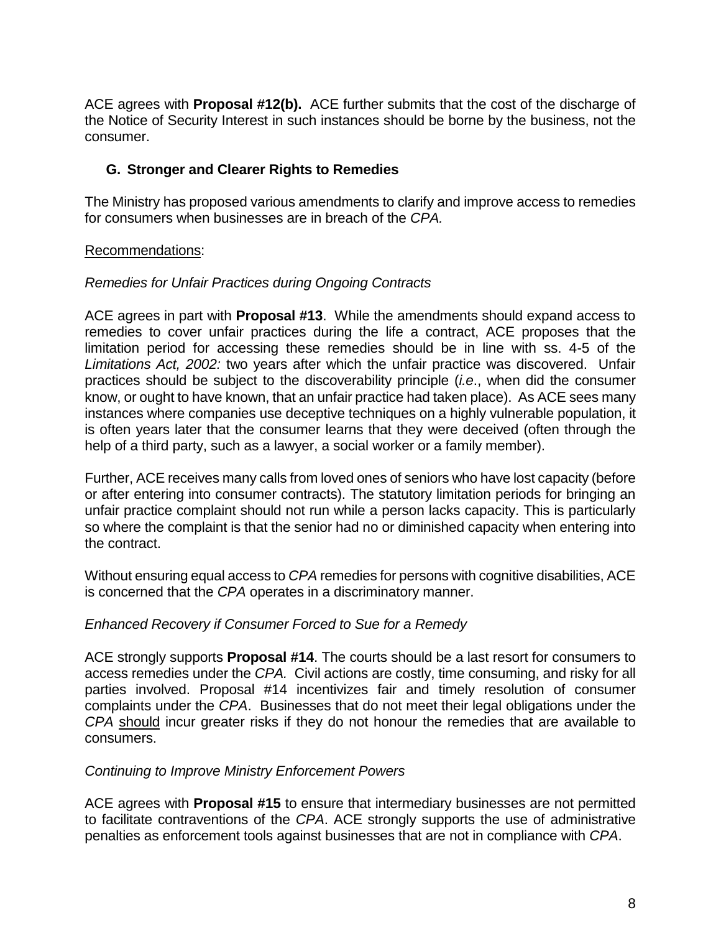ACE agrees with **Proposal #12(b).** ACE further submits that the cost of the discharge of the Notice of Security Interest in such instances should be borne by the business, not the consumer.

# **G. Stronger and Clearer Rights to Remedies**

The Ministry has proposed various amendments to clarify and improve access to remedies for consumers when businesses are in breach of the *CPA.*

## Recommendations:

## *Remedies for Unfair Practices during Ongoing Contracts*

ACE agrees in part with **Proposal #13**. While the amendments should expand access to remedies to cover unfair practices during the life a contract, ACE proposes that the limitation period for accessing these remedies should be in line with ss. 4-5 of the *Limitations Act, 2002:* two years after which the unfair practice was discovered. Unfair practices should be subject to the discoverability principle (*i.e*., when did the consumer know, or ought to have known, that an unfair practice had taken place). As ACE sees many instances where companies use deceptive techniques on a highly vulnerable population, it is often years later that the consumer learns that they were deceived (often through the help of a third party, such as a lawyer, a social worker or a family member).

Further, ACE receives many calls from loved ones of seniors who have lost capacity (before or after entering into consumer contracts). The statutory limitation periods for bringing an unfair practice complaint should not run while a person lacks capacity. This is particularly so where the complaint is that the senior had no or diminished capacity when entering into the contract.

Without ensuring equal access to *CPA* remedies for persons with cognitive disabilities, ACE is concerned that the *CPA* operates in a discriminatory manner.

## *Enhanced Recovery if Consumer Forced to Sue for a Remedy*

ACE strongly supports **Proposal #14**. The courts should be a last resort for consumers to access remedies under the *CPA.* Civil actions are costly, time consuming, and risky for all parties involved. Proposal #14 incentivizes fair and timely resolution of consumer complaints under the *CPA*. Businesses that do not meet their legal obligations under the *CPA* should incur greater risks if they do not honour the remedies that are available to consumers.

## *Continuing to Improve Ministry Enforcement Powers*

ACE agrees with **Proposal #15** to ensure that intermediary businesses are not permitted to facilitate contraventions of the *CPA*. ACE strongly supports the use of administrative penalties as enforcement tools against businesses that are not in compliance with *CPA*.